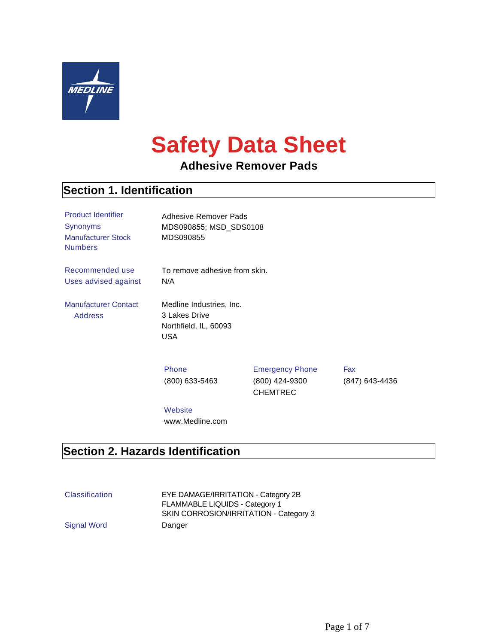

# **Safety Data Sheet**

# **Adhesive Remover Pads**

#### **Section 1. Identification**

| <b>Product Identifier</b><br>Synonyms<br><b>Manufacturer Stock</b><br><b>Numbers</b> | Adhesive Remover Pads<br>MDS090855; MSD_SDS0108<br>MDS090855                     |                                                             |                       |
|--------------------------------------------------------------------------------------|----------------------------------------------------------------------------------|-------------------------------------------------------------|-----------------------|
| Recommended use<br>Uses advised against                                              | To remove adhesive from skin.<br>N/A                                             |                                                             |                       |
| <b>Manufacturer Contact</b><br><b>Address</b>                                        | Medline Industries, Inc.<br>3 Lakes Drive<br>Northfield, IL, 60093<br><b>USA</b> |                                                             |                       |
|                                                                                      | Phone<br>$(800)$ 633-5463                                                        | <b>Emergency Phone</b><br>(800) 424-9300<br><b>CHEMTREC</b> | Fax<br>(847) 643-4436 |
|                                                                                      | Website                                                                          |                                                             |                       |

# **Section 2. Hazards Identification**

| <b>Classification</b> | EYE DAMAGE/IRRITATION - Category 2B    |
|-----------------------|----------------------------------------|
|                       | FLAMMABLE LIQUIDS - Category 1         |
|                       | SKIN CORROSION/IRRITATION - Category 3 |
| Signal Word           | Danger                                 |

www.Medline.com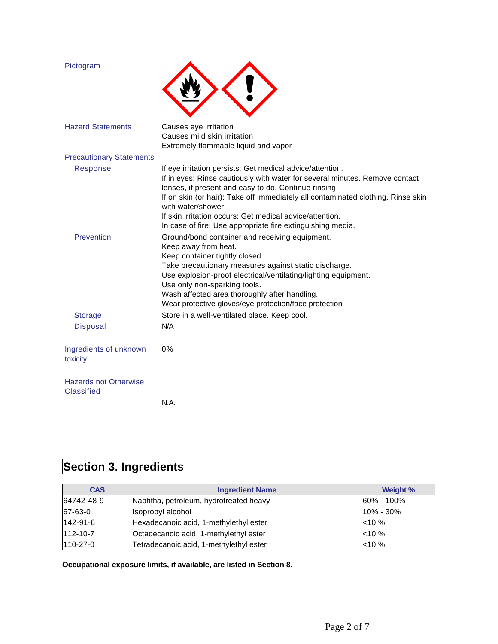| Pictogram                                  |                                                                                                                                                                                                                                                                                                                                                                                                                                      |
|--------------------------------------------|--------------------------------------------------------------------------------------------------------------------------------------------------------------------------------------------------------------------------------------------------------------------------------------------------------------------------------------------------------------------------------------------------------------------------------------|
| <b>Hazard Statements</b>                   | Causes eye irritation<br>Causes mild skin irritation<br>Extremely flammable liquid and vapor                                                                                                                                                                                                                                                                                                                                         |
| <b>Precautionary Statements</b>            |                                                                                                                                                                                                                                                                                                                                                                                                                                      |
| Response                                   | If eye irritation persists: Get medical advice/attention.<br>If in eyes: Rinse cautiously with water for several minutes. Remove contact<br>lenses, if present and easy to do. Continue rinsing.<br>If on skin (or hair): Take off immediately all contaminated clothing. Rinse skin<br>with water/shower.<br>If skin irritation occurs: Get medical advice/attention.<br>In case of fire: Use appropriate fire extinguishing media. |
| Prevention                                 | Ground/bond container and receiving equipment.<br>Keep away from heat.<br>Keep container tightly closed.<br>Take precautionary measures against static discharge.<br>Use explosion-proof electrical/ventilating/lighting equipment.<br>Use only non-sparking tools.<br>Wash affected area thoroughly after handling.<br>Wear protective gloves/eye protection/face protection                                                        |
| <b>Storage</b>                             | Store in a well-ventilated place. Keep cool.                                                                                                                                                                                                                                                                                                                                                                                         |
| <b>Disposal</b>                            | N/A                                                                                                                                                                                                                                                                                                                                                                                                                                  |
| Ingredients of unknown<br>toxicity         | $0\%$                                                                                                                                                                                                                                                                                                                                                                                                                                |
| <b>Hazards not Otherwise</b><br>Classified |                                                                                                                                                                                                                                                                                                                                                                                                                                      |
|                                            | N.A.                                                                                                                                                                                                                                                                                                                                                                                                                                 |

# **Section 3. Ingredients**

| <b>CAS</b> | <b>Ingredient Name</b>                  | Weight %       |
|------------|-----------------------------------------|----------------|
| 64742-48-9 | Naphtha, petroleum, hydrotreated heavy  | $60\% - 100\%$ |
| 67-63-0    | Isopropyl alcohol                       | $10\% - 30\%$  |
| 142-91-6   | Hexadecanoic acid, 1-methylethyl ester  | $<10\%$        |
| 112-10-7   | Octadecanoic acid, 1-methylethyl ester  | $<10\%$        |
| 110-27-0   | Tetradecanoic acid, 1-methylethyl ester | $< 10 \%$      |

**Occupational exposure limits, if available, are listed in Section 8.**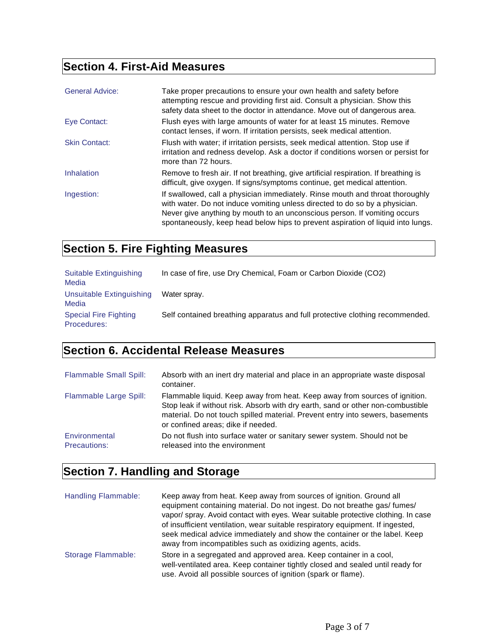# **Section 4. First-Aid Measures**

| <b>General Advice:</b> | Take proper precautions to ensure your own health and safety before<br>attempting rescue and providing first aid. Consult a physician. Show this<br>safety data sheet to the doctor in attendance. Move out of dangerous area.                                                                                               |
|------------------------|------------------------------------------------------------------------------------------------------------------------------------------------------------------------------------------------------------------------------------------------------------------------------------------------------------------------------|
| Eye Contact:           | Flush eyes with large amounts of water for at least 15 minutes. Remove<br>contact lenses, if worn. If irritation persists, seek medical attention.                                                                                                                                                                           |
| <b>Skin Contact:</b>   | Flush with water; if irritation persists, seek medical attention. Stop use if<br>irritation and redness develop. Ask a doctor if conditions worsen or persist for<br>more than 72 hours.                                                                                                                                     |
| Inhalation             | Remove to fresh air. If not breathing, give artificial respiration. If breathing is<br>difficult, give oxygen. If signs/symptoms continue, get medical attention.                                                                                                                                                            |
| Ingestion:             | If swallowed, call a physician immediately. Rinse mouth and throat thoroughly<br>with water. Do not induce vomiting unless directed to do so by a physician.<br>Never give anything by mouth to an unconscious person. If vomiting occurs<br>spontaneously, keep head below hips to prevent aspiration of liquid into lungs. |

# **Section 5. Fire Fighting Measures**

| Suitable Extinguishing<br>Media             | In case of fire, use Dry Chemical, Foam or Carbon Dioxide (CO2)              |
|---------------------------------------------|------------------------------------------------------------------------------|
| Unsuitable Extinguishing<br>Media           | Water sprav.                                                                 |
| <b>Special Fire Fighting</b><br>Procedures: | Self contained breathing apparatus and full protective clothing recommended. |

# **Section 6. Accidental Release Measures**

| <b>Flammable Small Spill:</b>        | Absorb with an inert dry material and place in an appropriate waste disposal<br>container.                                                                                                                                                                                           |
|--------------------------------------|--------------------------------------------------------------------------------------------------------------------------------------------------------------------------------------------------------------------------------------------------------------------------------------|
| Flammable Large Spill:               | Flammable liquid. Keep away from heat. Keep away from sources of ignition.<br>Stop leak if without risk. Absorb with dry earth, sand or other non-combustible<br>material. Do not touch spilled material. Prevent entry into sewers, basements<br>or confined areas; dike if needed. |
| Environmental<br><b>Precautions:</b> | Do not flush into surface water or sanitary sewer system. Should not be<br>released into the environment                                                                                                                                                                             |

# **Section 7. Handling and Storage**

| Handling Flammable:       | Keep away from heat. Keep away from sources of ignition. Ground all<br>equipment containing material. Do not ingest. Do not breathe gas/ fumes/<br>vapor/spray. Avoid contact with eyes. Wear suitable protective clothing. In case<br>of insufficient ventilation, wear suitable respiratory equipment. If ingested,<br>seek medical advice immediately and show the container or the label. Keep<br>away from incompatibles such as oxidizing agents, acids. |
|---------------------------|----------------------------------------------------------------------------------------------------------------------------------------------------------------------------------------------------------------------------------------------------------------------------------------------------------------------------------------------------------------------------------------------------------------------------------------------------------------|
| <b>Storage Flammable:</b> | Store in a segregated and approved area. Keep container in a cool,<br>well-ventilated area. Keep container tightly closed and sealed until ready for<br>use. Avoid all possible sources of ignition (spark or flame).                                                                                                                                                                                                                                          |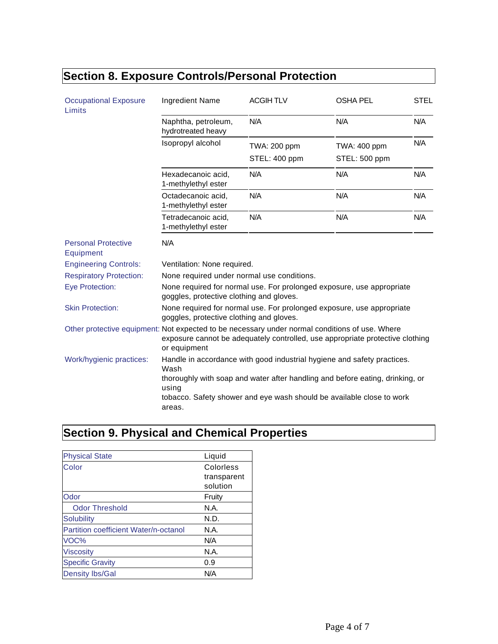| <b>Occupational Exposure</b><br>Limits  | Ingredient Name                                                                                                                                                                                 | <b>ACGIHTLV</b> | <b>OSHA PEL</b> | <b>STEL</b> |
|-----------------------------------------|-------------------------------------------------------------------------------------------------------------------------------------------------------------------------------------------------|-----------------|-----------------|-------------|
|                                         | Naphtha, petroleum,<br>hydrotreated heavy                                                                                                                                                       | N/A             | N/A             | N/A         |
|                                         | Isopropyl alcohol                                                                                                                                                                               | TWA: 200 ppm    | TWA: 400 ppm    | N/A         |
|                                         |                                                                                                                                                                                                 | STEL: 400 ppm   | STEL: 500 ppm   |             |
|                                         | Hexadecanoic acid,<br>1-methylethyl ester                                                                                                                                                       | N/A             | N/A             | N/A         |
|                                         | Octadecanoic acid,<br>1-methylethyl ester                                                                                                                                                       | N/A             | N/A             | N/A         |
|                                         | Tetradecanoic acid,<br>1-methylethyl ester                                                                                                                                                      | N/A             | N/A             | N/A         |
| <b>Personal Protective</b><br>Equipment | N/A                                                                                                                                                                                             |                 |                 |             |
| <b>Engineering Controls:</b>            | Ventilation: None required.                                                                                                                                                                     |                 |                 |             |
| <b>Respiratory Protection:</b>          | None required under normal use conditions.                                                                                                                                                      |                 |                 |             |
| <b>Eye Protection:</b>                  | None required for normal use. For prolonged exposure, use appropriate<br>goggles, protective clothing and gloves.                                                                               |                 |                 |             |
| <b>Skin Protection:</b>                 | None required for normal use. For prolonged exposure, use appropriate<br>goggles, protective clothing and gloves.                                                                               |                 |                 |             |
|                                         | Other protective equipment: Not expected to be necessary under normal conditions of use. Where<br>exposure cannot be adequately controlled, use appropriate protective clothing<br>or equipment |                 |                 |             |
| Work/hygienic practices:                | Handle in accordance with good industrial hygiene and safety practices.<br>Wash                                                                                                                 |                 |                 |             |
|                                         | thoroughly with soap and water after handling and before eating, drinking, or<br>using<br>tobacco. Safety shower and eye wash should be available close to work                                 |                 |                 |             |
|                                         | areas.                                                                                                                                                                                          |                 |                 |             |

# **Section 8. Exposure Controls/Personal Protection**

# **Section 9. Physical and Chemical Properties**

| <b>Physical State</b>                 | Liquid      |
|---------------------------------------|-------------|
| Color                                 | Colorless   |
|                                       | transparent |
|                                       | solution    |
| Odor                                  | Fruity      |
| <b>Odor Threshold</b>                 | N.A.        |
| Solubility                            | N.D.        |
| Partition coefficient Water/n-octanol | N.A.        |
| VOC%                                  | N/A         |
| <b>Viscosity</b>                      | N.A.        |
| <b>Specific Gravity</b>               | 0.9         |
| <b>Density lbs/Gal</b>                | N/A         |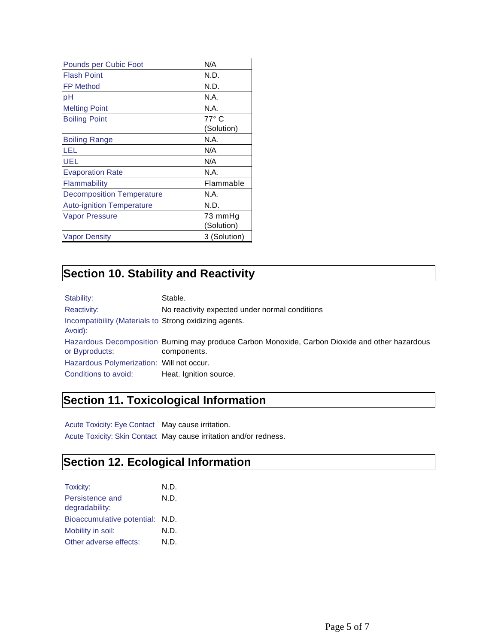| Pounds per Cubic Foot            | N/A          |
|----------------------------------|--------------|
| <b>Flash Point</b>               | N.D.         |
| <b>FP Method</b>                 | N.D.         |
| pH                               | N.A.         |
| <b>Melting Point</b>             | N.A.         |
| <b>Boiling Point</b>             | $77^\circ$ C |
|                                  | (Solution)   |
| <b>Boiling Range</b>             | N.A.         |
| LEL                              | N/A          |
| <b>UEL</b>                       | N/A          |
| <b>Evaporation Rate</b>          | N.A.         |
| Flammability                     | Flammable    |
| <b>Decomposition Temperature</b> | N.A.         |
| <b>Auto-ignition Temperature</b> | N.D.         |
| <b>Vapor Pressure</b>            | 73 mmHg      |
|                                  | (Solution)   |
| Vapor Density                    | 3 (Solution) |

#### **Section 10. Stability and Reactivity**

Stability: Stable. Reactivity: No reactivity expected under normal conditions Incompatibility (Materials to Strong oxidizing agents. Avoid): Hazardous Decomposition Burning may produce Carbon Monoxide, Carbon Dioxide and other hazardous or Byproducts: components. Hazardous Polymerization: Will not occur. Conditions to avoid: Heat. Ignition source.

#### **Section 11. Toxicological Information**

Acute Toxicity: Eye Contact May cause irritation. Acute Toxicity: Skin Contact May cause irritation and/or redness.

#### **Section 12. Ecological Information**

| Toxicity:                       | N.D. |
|---------------------------------|------|
| Persistence and                 | N.D. |
| degradability:                  |      |
| Bioaccumulative potential: N.D. |      |
| Mobility in soil:               | N.D. |
| Other adverse effects:          | N.D. |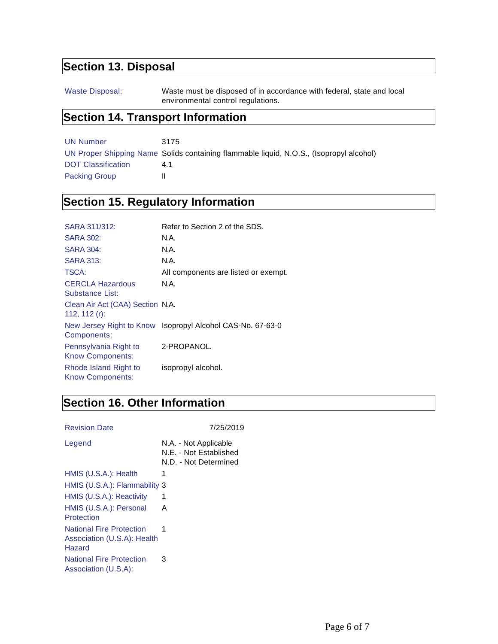# **Section 13. Disposal**

Waste Disposal: Waste must be disposed of in accordance with federal, state and local environmental control regulations.

#### **Section 14. Transport Information**

| UN Number            | 3175                                                                                    |
|----------------------|-----------------------------------------------------------------------------------------|
|                      | UN Proper Shipping Name Solids containing flammable liquid, N.O.S., (Isopropyl alcohol) |
| DOT Classification   | 41                                                                                      |
| <b>Packing Group</b> |                                                                                         |

# **Section 15. Regulatory Information**

| SARA 311/312:                                        | Refer to Section 2 of the SDS.                             |
|------------------------------------------------------|------------------------------------------------------------|
| <b>SARA 302:</b>                                     | N.A.                                                       |
| <b>SARA 304:</b>                                     | N.A.                                                       |
| <b>SARA 313:</b>                                     | N.A.                                                       |
| TSCA:                                                | All components are listed or exempt.                       |
| <b>CERCLA Hazardous</b><br>Substance List:           | N.A.                                                       |
| Clean Air Act (CAA) Section N.A.<br>112, 112 $(r)$ : |                                                            |
| Components:                                          | New Jersey Right to Know Isopropyl Alcohol CAS-No. 67-63-0 |
| Pennsylvania Right to<br><b>Know Components:</b>     | 2-PROPANOL.                                                |
| Rhode Island Right to<br><b>Know Components:</b>     | isopropyl alcohol.                                         |

### **Section 16. Other Information**

| <b>Revision Date</b> | 7/25/2019 |
|----------------------|-----------|
|                      |           |

| Legend                                                                   | N.A. - Not Applicable<br>N.E. - Not Established<br>N.D. - Not Determined |
|--------------------------------------------------------------------------|--------------------------------------------------------------------------|
| HMIS (U.S.A.): Health                                                    | 1                                                                        |
| HMIS (U.S.A.): Flammability 3                                            |                                                                          |
| HMIS (U.S.A.): Reactivity                                                | 1                                                                        |
| HMIS (U.S.A.): Personal<br>Protection                                    | A                                                                        |
| <b>National Fire Protection</b><br>Association (U.S.A): Health<br>Hazard | 1                                                                        |
| <b>National Fire Protection</b><br>Association (U.S.A):                  | 3                                                                        |